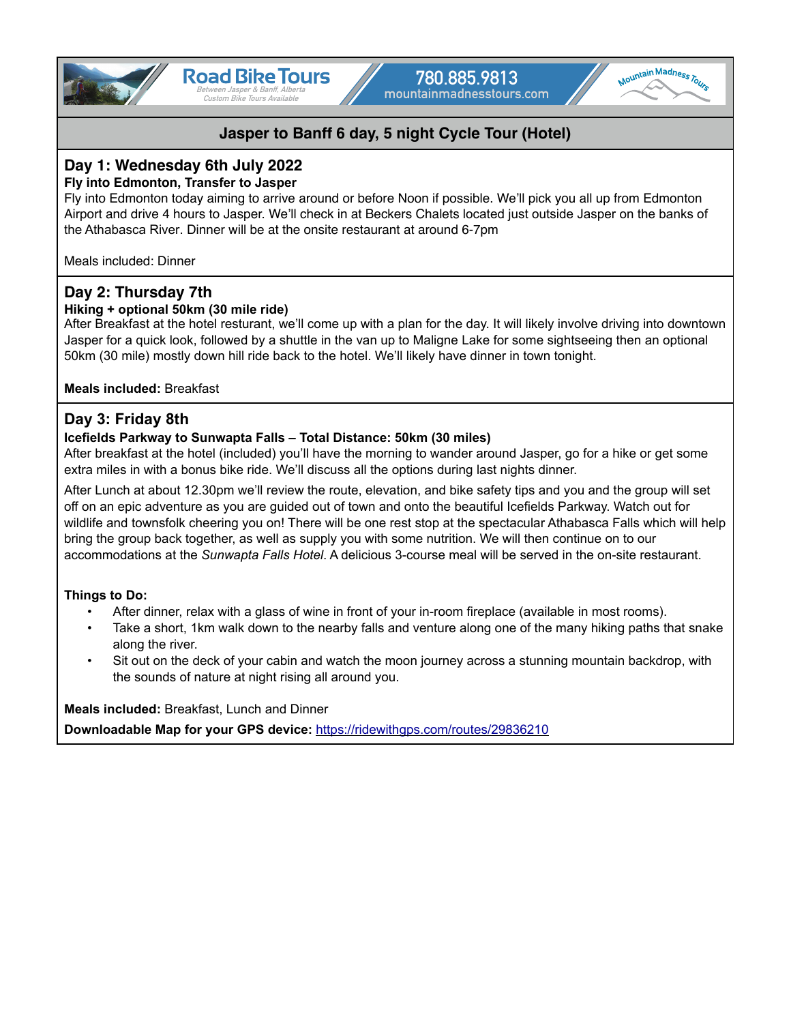



# **Day 1: Wednesday 6th July 2022**

### **Fly into Edmonton, Transfer to Jasper**

Fly into Edmonton today aiming to arrive around or before Noon if possible. We'll pick you all up from Edmonton Airport and drive 4 hours to Jasper. We'll check in at Beckers Chalets located just outside Jasper on the banks of the Athabasca River. Dinner will be at the onsite restaurant at around 6-7pm

Meals included: Dinner

# **Day 2: Thursday 7th**

### **Hiking + optional 50km (30 mile ride)**

After Breakfast at the hotel resturant, we'll come up with a plan for the day. It will likely involve driving into downtown Jasper for a quick look, followed by a shuttle in the van up to Maligne Lake for some sightseeing then an optional 50km (30 mile) mostly down hill ride back to the hotel. We'll likely have dinner in town tonight.

### **Meals included:** Breakfast

## **Day 3: Friday 8th**

### **Icefields Parkway to Sunwapta Falls – Total Distance: 50km (30 miles)**

After breakfast at the hotel (included) you'll have the morning to wander around Jasper, go for a hike or get some extra miles in with a bonus bike ride. We'll discuss all the options during last nights dinner.

After Lunch at about 12.30pm we'll review the route, elevation, and bike safety tips and you and the group will set off on an epic adventure as you are guided out of town and onto the beautiful Icefields Parkway. Watch out for wildlife and townsfolk cheering you on! There will be one rest stop at the spectacular Athabasca Falls which will help bring the group back together, as well as supply you with some nutrition. We will then continue on to our accommodations at the *Sunwapta Falls Hotel*. A delicious 3-course meal will be served in the on-site restaurant.

### **Things to Do:**

- After dinner, relax with a glass of wine in front of your in-room fireplace (available in most rooms).
- Take a short, 1km walk down to the nearby falls and venture along one of the many hiking paths that snake along the river.
- Sit out on the deck of your cabin and watch the moon journey across a stunning mountain backdrop, with the sounds of nature at night rising all around you.

**Meals included:** Breakfast, Lunch and Dinner

**Downloadable Map for your GPS device:** <https://ridewithgps.com/routes/29836210>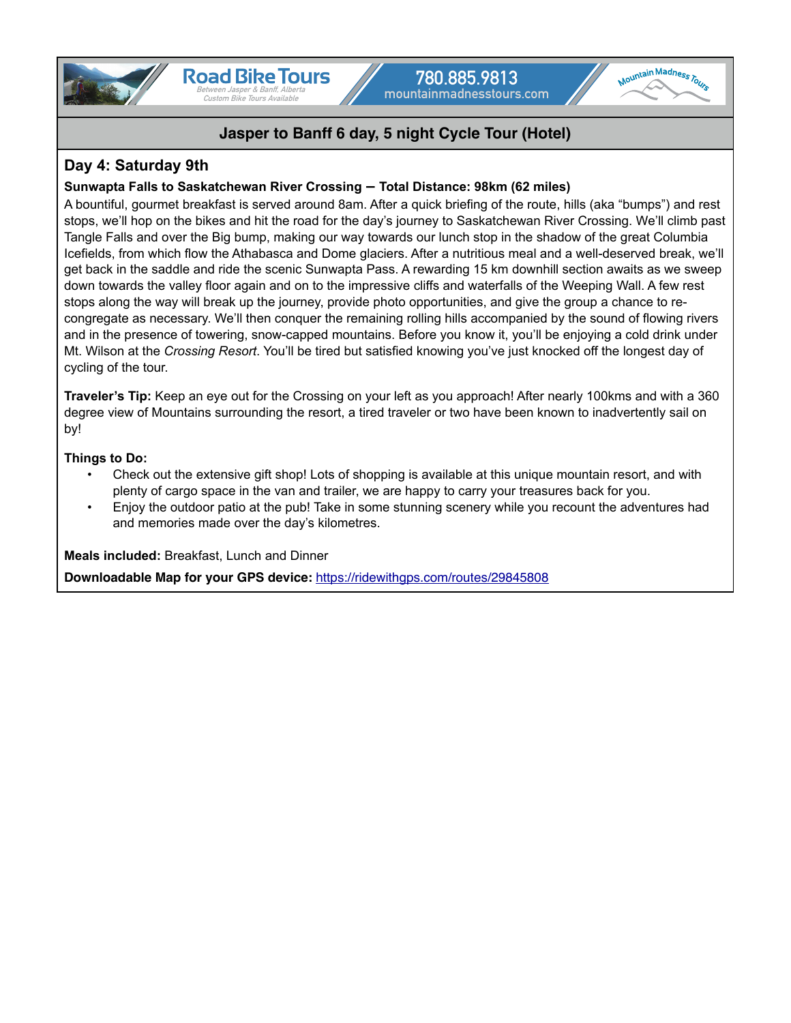



## **Day 4: Saturday 9th**

### **Sunwapta Falls to Saskatchewan River Crossing – Total Distance: 98km (62 miles)**

A bountiful, gourmet breakfast is served around 8am. After a quick briefing of the route, hills (aka "bumps") and rest stops, we'll hop on the bikes and hit the road for the day's journey to Saskatchewan River Crossing. We'll climb past Tangle Falls and over the Big bump, making our way towards our lunch stop in the shadow of the great Columbia Icefields, from which flow the Athabasca and Dome glaciers. After a nutritious meal and a well-deserved break, we'll get back in the saddle and ride the scenic Sunwapta Pass. A rewarding 15 km downhill section awaits as we sweep down towards the valley floor again and on to the impressive cliffs and waterfalls of the Weeping Wall. A few rest stops along the way will break up the journey, provide photo opportunities, and give the group a chance to recongregate as necessary. We'll then conquer the remaining rolling hills accompanied by the sound of flowing rivers and in the presence of towering, snow-capped mountains. Before you know it, you'll be enjoying a cold drink under Mt. Wilson at the *Crossing Resort*. You'll be tired but satisfied knowing you've just knocked off the longest day of cycling of the tour.

**Traveler's Tip:** Keep an eye out for the Crossing on your left as you approach! After nearly 100kms and with a 360 degree view of Mountains surrounding the resort, a tired traveler or two have been known to inadvertently sail on by!

### **Things to Do:**

- Check out the extensive gift shop! Lots of shopping is available at this unique mountain resort, and with plenty of cargo space in the van and trailer, we are happy to carry your treasures back for you.
- Enjoy the outdoor patio at the pub! Take in some stunning scenery while you recount the adventures had and memories made over the day's kilometres.

**Meals included:** Breakfast, Lunch and Dinner

**Downloadable Map for your GPS device:** <https://ridewithgps.com/routes/29845808>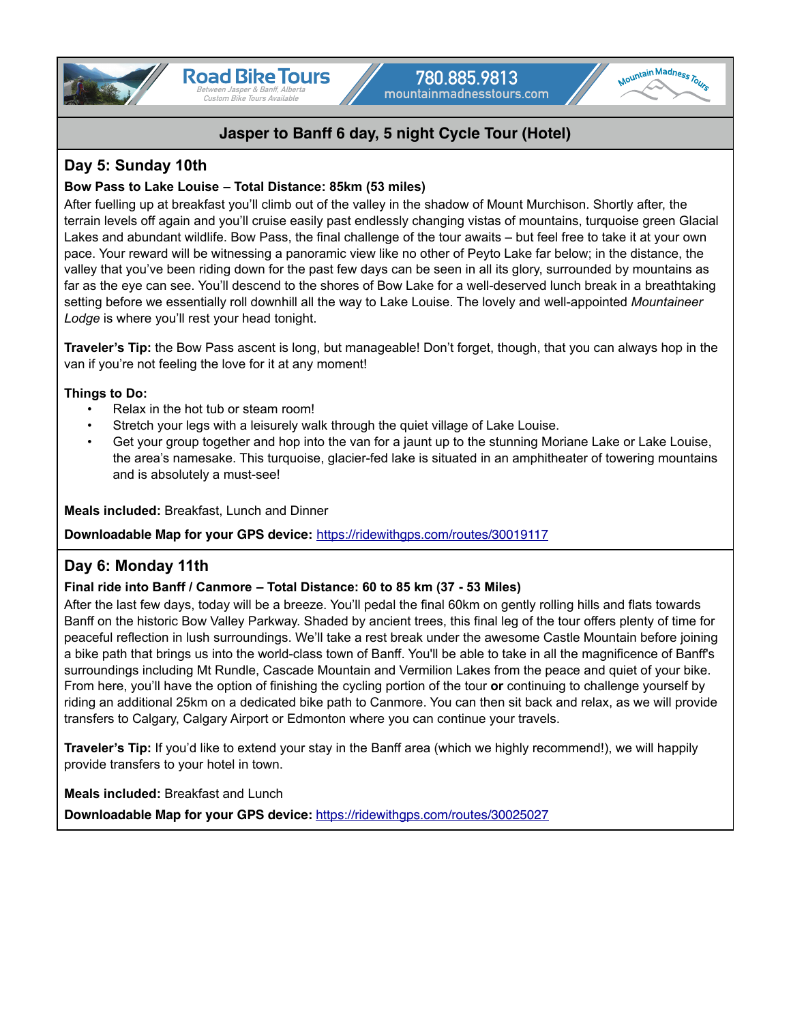

## **Day 5: Sunday 10th**

### **Bow Pass to Lake Louise – Total Distance: 85km (53 miles)**

After fuelling up at breakfast you'll climb out of the valley in the shadow of Mount Murchison. Shortly after, the terrain levels off again and you'll cruise easily past endlessly changing vistas of mountains, turquoise green Glacial Lakes and abundant wildlife. Bow Pass, the final challenge of the tour awaits – but feel free to take it at your own pace. Your reward will be witnessing a panoramic view like no other of Peyto Lake far below; in the distance, the valley that you've been riding down for the past few days can be seen in all its glory, surrounded by mountains as far as the eye can see. You'll descend to the shores of Bow Lake for a well-deserved lunch break in a breathtaking setting before we essentially roll downhill all the way to Lake Louise. The lovely and well-appointed *Mountaineer*  Lodge is where you'll rest your head tonight.

**Traveler's Tip:** the Bow Pass ascent is long, but manageable! Don't forget, though, that you can always hop in the van if you're not feeling the love for it at any moment!

### **Things to Do:**

- Relax in the hot tub or steam room!
- Stretch your legs with a leisurely walk through the quiet village of Lake Louise.
- Get your group together and hop into the van for a jaunt up to the stunning Moriane Lake or Lake Louise, the area's namesake. This turquoise, glacier-fed lake is situated in an amphitheater of towering mountains and is absolutely a must-see!

**Meals included:** Breakfast, Lunch and Dinner

**Downloadable Map for your GPS device:** <https://ridewithgps.com/routes/30019117>

## **Day 6: Monday 11th**

### **Final ride into Banff / Canmore – Total Distance: 60 to 85 km (37 - 53 Miles)**

After the last few days, today will be a breeze. You'll pedal the final 60km on gently rolling hills and flats towards Banff on the historic Bow Valley Parkway. Shaded by ancient trees, this final leg of the tour offers plenty of time for peaceful reflection in lush surroundings. We'll take a rest break under the awesome Castle Mountain before joining a bike path that brings us into the world-class town of Banff. You'll be able to take in all the magnificence of Banff's surroundings including Mt Rundle, Cascade Mountain and Vermilion Lakes from the peace and quiet of your bike. From here, you'll have the option of finishing the cycling portion of the tour **or** continuing to challenge yourself by riding an additional 25km on a dedicated bike path to Canmore. You can then sit back and relax, as we will provide transfers to Calgary, Calgary Airport or Edmonton where you can continue your travels.

**Traveler's Tip:** If you'd like to extend your stay in the Banff area (which we highly recommend!), we will happily provide transfers to your hotel in town.

**Meals included:** Breakfast and Lunch

**Downloadable Map for your GPS device:** <https://ridewithgps.com/routes/30025027>